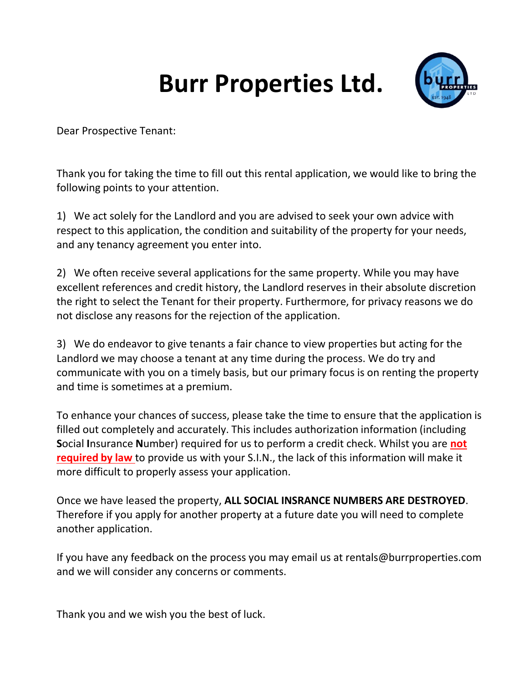## **Burr Properties Ltd.**



Dear Prospective Tenant:

Thank you for taking the time to fill out this rental application, we would like to bring the following points to your attention.

1) We act solely for the Landlord and you are advised to seek your own advice with respect to this application, the condition and suitability of the property for your needs, and any tenancy agreement you enter into.

2) We often receive several applications for the same property. While you may have excellent references and credit history, the Landlord reserves in their absolute discretion the right to select the Tenant for their property. Furthermore, for privacy reasons we do not disclose any reasons for the rejection of the application.

3) We do endeavor to give tenants a fair chance to view properties but acting for the Landlord we may choose a tenant at any time during the process. We do try and communicate with you on a timely basis, but our primary focus is on renting the property and time is sometimes at a premium.

To enhance your chances of success, please take the time to ensure that the application is filled out completely and accurately. This includes authorization information (including **S**ocial **I**nsurance **N**umber) required for us to perform a credit check. Whilst you are **not required by law** to provide us with your S.I.N., the lack of this information will make it more difficult to properly assess your application.

Once we have leased the property, **ALL SOCIAL INSRANCE NUMBERS ARE DESTROYED**. Therefore if you apply for another property at a future date you will need to complete another application.

If you have any feedback on the process you may email us at rentals@burrproperties.com and we will consider any concerns or comments.

Thank you and we wish you the best of luck.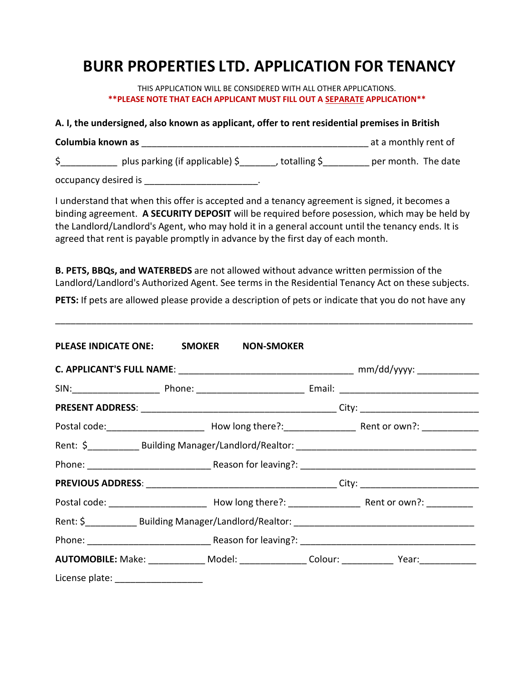## **BURR PROPERTIES LTD. APPLICATION FOR TENANCY**

THIS APPLICATION WILL BE CONSIDERED WITH ALL OTHER APPLICATIONS. **\*\*PLEASE NOTE THAT EACH APPLICANT MUST FILL OUT A SEPARATE APPLICATION\*\***

**A. I, the undersigned, also known as applicant, offer to rent residential premises in British Columbia known as** <br> **Columbia known as**  $\qquad \qquad$  **Columbia known as** \$\_\_\_\_\_\_\_\_\_\_\_\_\_ plus parking (if applicable) \$\_\_\_\_\_\_\_, totalling \$\_\_\_\_\_\_\_\_\_\_ per month. The date

occupancy desired is \_\_\_\_\_\_\_\_\_\_\_\_\_\_\_\_\_\_\_\_\_\_.

I understand that when this offer is accepted and a tenancy agreement is signed, it becomes a binding agreement. **A SECURITY DEPOSIT** will be required before posession, which may be held by the Landlord/Landlord's Agent, who may hold it in a general account until the tenancy ends. It is agreed that rent is payable promptly in advance by the first day of each month.

**B. PETS, BBQs, and WATERBEDS** are not allowed without advance written permission of the Landlord/Landlord's Authorized Agent. See terms in the Residential Tenancy Act on these subjects.

**PETS:** If pets are allowed please provide a description of pets or indicate that you do not have any

\_\_\_\_\_\_\_\_\_\_\_\_\_\_\_\_\_\_\_\_\_\_\_\_\_\_\_\_\_\_\_\_\_\_\_\_\_\_\_\_\_\_\_\_\_\_\_\_\_\_\_\_\_\_\_\_\_\_\_\_\_\_\_\_\_\_\_\_\_\_\_\_\_\_\_\_\_\_\_\_\_

| PLEASE INDICATE ONE: SMOKER NON-SMOKER |  |                                                                                                      |
|----------------------------------------|--|------------------------------------------------------------------------------------------------------|
|                                        |  |                                                                                                      |
|                                        |  |                                                                                                      |
|                                        |  |                                                                                                      |
|                                        |  |                                                                                                      |
|                                        |  |                                                                                                      |
|                                        |  |                                                                                                      |
|                                        |  |                                                                                                      |
|                                        |  |                                                                                                      |
|                                        |  |                                                                                                      |
|                                        |  |                                                                                                      |
|                                        |  | AUTOMOBILE: Make: ______________ Model: ________________ Colour: _______________ Year: _____________ |
|                                        |  |                                                                                                      |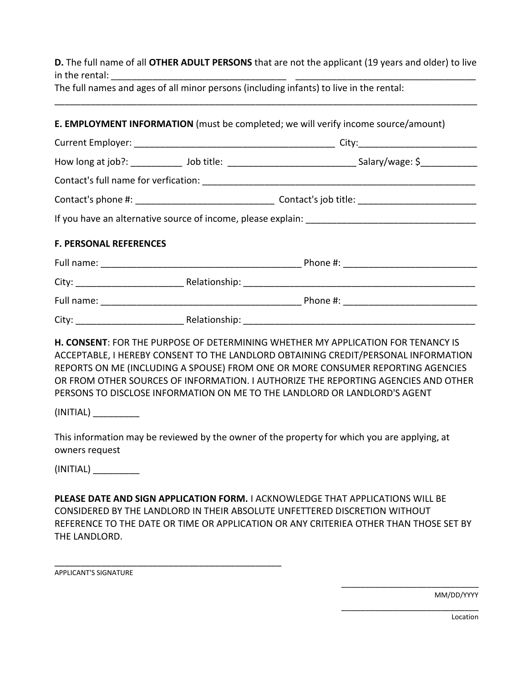**D.** The full name of all **OTHER ADULT PERSONS** that are not the applicant (19 years and older) to live in the rental:

\_\_\_\_\_\_\_\_\_\_\_\_\_\_\_\_\_\_\_\_\_\_\_\_\_\_\_\_\_\_\_\_\_\_\_\_\_\_\_\_\_\_\_\_\_\_\_\_\_\_\_\_\_\_\_\_\_\_\_\_\_\_\_\_\_\_\_\_\_\_\_\_\_\_\_\_\_\_\_\_\_\_

The full names and ages of all minor persons (including infants) to live in the rental:

|                               |  | <b>E. EMPLOYMENT INFORMATION</b> (must be completed; we will verify income source/amount)                                                                                                                                                                        |  |  |  |
|-------------------------------|--|------------------------------------------------------------------------------------------------------------------------------------------------------------------------------------------------------------------------------------------------------------------|--|--|--|
|                               |  |                                                                                                                                                                                                                                                                  |  |  |  |
|                               |  | How long at job?: ______________ Job title: ___________________________________Salary/wage: \$________________                                                                                                                                                   |  |  |  |
|                               |  |                                                                                                                                                                                                                                                                  |  |  |  |
|                               |  |                                                                                                                                                                                                                                                                  |  |  |  |
|                               |  |                                                                                                                                                                                                                                                                  |  |  |  |
| <b>F. PERSONAL REFERENCES</b> |  |                                                                                                                                                                                                                                                                  |  |  |  |
|                               |  |                                                                                                                                                                                                                                                                  |  |  |  |
|                               |  |                                                                                                                                                                                                                                                                  |  |  |  |
|                               |  |                                                                                                                                                                                                                                                                  |  |  |  |
|                               |  |                                                                                                                                                                                                                                                                  |  |  |  |
|                               |  | <b>H. CONSENT: FOR THE PURPOSE OF DETERMINING WHETHER MY APPLICATION FOR TENANCY IS</b><br>ACCEPTABLE, I HEREBY CONSENT TO THE LANDLORD OBTAINING CREDIT/PERSONAL INFORMATION<br>REPORTS ON ME (INCLUDING A SPOUSE) FROM ONE OR MORE CONSUMER REPORTING AGENCIES |  |  |  |
|                               |  | OR FROM OTHER SOURCES OF INFORMATION. I AUTHORIZE THE REPORTING AGENCIES AND OTHER<br>PERSONS TO DISCLOSE INFORMATION ON ME TO THE LANDLORD OR LANDLORD'S AGENT                                                                                                  |  |  |  |

(INITIAL) \_\_\_\_\_\_\_\_\_

This information may be reviewed by the owner of the property for which you are applying, at owners request

(INITIAL) \_\_\_\_\_\_\_\_\_

**PLEASE DATE AND SIGN APPLICATION FORM.** I ACKNOWLEDGE THAT APPLICATIONS WILL BE CONSIDERED BY THE LANDLORD IN THEIR ABSOLUTE UNFETTERED DISCRETION WITHOUT REFERENCE TO THE DATE OR TIME OR APPLICATION OR ANY CRITERIEA OTHER THAN THOSE SET BY THE LANDLORD.

APPLICANT'S SIGNATURE

\_\_\_\_\_\_\_\_\_\_\_\_\_\_\_\_\_\_\_\_\_\_\_\_\_\_\_\_\_\_\_\_\_\_\_\_\_\_\_\_\_\_\_\_

MM/DD/YYYY

\_\_\_\_\_\_\_\_\_\_\_\_\_\_\_\_\_\_\_\_\_\_\_\_\_\_\_\_\_

\_\_\_\_\_\_\_\_\_\_\_\_\_\_\_\_\_\_\_\_\_\_\_\_\_\_\_\_\_

Location